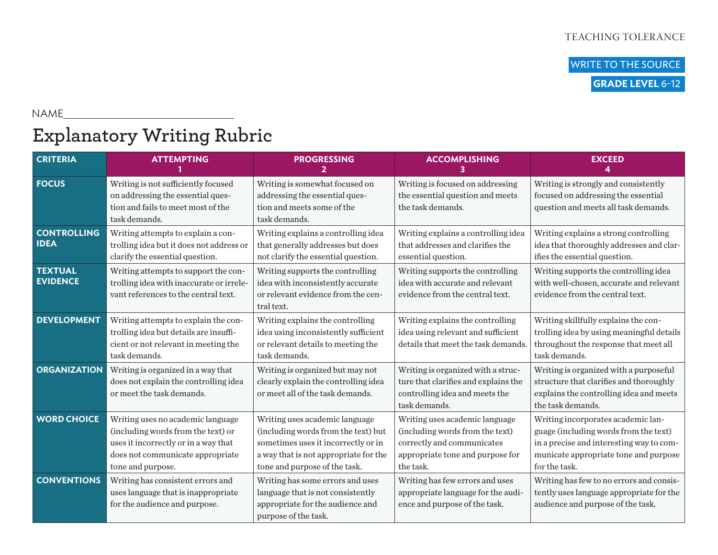WRITE TO THE SOURCE  **GRADE LEVEL** 6-12

NAME

## **Explanatory Writing Rubric**

<u> 1980 - Johann Barbara, martxa a</u>

| <b>CRITERIA</b>                   | <b>ATTEMPTING</b>                                                                                                                                                        | <b>PROGRESSING</b>                                                                                                                                                                     | <b>ACCOMPLISHING</b>                                                                                                                             | <b>EXCEED</b>                                                                                                                                                                     |
|-----------------------------------|--------------------------------------------------------------------------------------------------------------------------------------------------------------------------|----------------------------------------------------------------------------------------------------------------------------------------------------------------------------------------|--------------------------------------------------------------------------------------------------------------------------------------------------|-----------------------------------------------------------------------------------------------------------------------------------------------------------------------------------|
| <b>FOCUS</b>                      | Writing is not sufficiently focused<br>on addressing the essential ques-<br>tion and fails to meet most of the<br>task demands.                                          | Writing is somewhat focused on<br>addressing the essential ques-<br>tion and meets some of the<br>task demands.                                                                        | Writing is focused on addressing<br>the essential question and meets<br>the task demands.                                                        | Writing is strongly and consistently<br>focused on addressing the essential<br>question and meets all task demands.                                                               |
| <b>CONTROLLING</b><br><b>IDEA</b> | Writing attempts to explain a con-<br>trolling idea but it does not address or<br>clarify the essential question.                                                        | Writing explains a controlling idea<br>that generally addresses but does<br>not clarify the essential question.                                                                        | Writing explains a controlling idea<br>that addresses and clarifies the<br>essential question.                                                   | Writing explains a strong controlling<br>idea that thoroughly addresses and clar-<br>ifies the essential question.                                                                |
| <b>TEXTUAL</b><br><b>EVIDENCE</b> | Writing attempts to support the con-<br>trolling idea with inaccurate or irrele-<br>vant references to the central text.                                                 | Writing supports the controlling<br>idea with inconsistently accurate<br>or relevant evidence from the cen-<br>tral text.                                                              | Writing supports the controlling<br>idea with accurate and relevant<br>evidence from the central text.                                           | Writing supports the controlling idea<br>with well-chosen, accurate and relevant<br>evidence from the central text.                                                               |
| <b>DEVELOPMENT</b>                | Writing attempts to explain the con-<br>trolling idea but details are insuffi-<br>cient or not relevant in meeting the<br>task demands.                                  | Writing explains the controlling<br>idea using inconsistently sufficient<br>or relevant details to meeting the<br>task demands.                                                        | Writing explains the controlling<br>idea using relevant and sufficient<br>details that meet the task demands.                                    | Writing skillfully explains the con-<br>trolling idea by using meaningful details<br>throughout the response that meet all<br>task demands.                                       |
| <b>ORGANIZATION</b>               | Writing is organized in a way that<br>does not explain the controlling idea<br>or meet the task demands.                                                                 | Writing is organized but may not<br>clearly explain the controlling idea<br>or meet all of the task demands.                                                                           | Writing is organized with a struc-<br>ture that clarifies and explains the<br>controlling idea and meets the<br>task demands.                    | Writing is organized with a purposeful<br>structure that clarifies and thoroughly<br>explains the controlling idea and meets<br>the task demands.                                 |
| <b>WORD CHOICE</b>                | Writing uses no academic language<br>(including words from the text) or<br>uses it incorrectly or in a way that<br>does not communicate appropriate<br>tone and purpose. | Writing uses academic language<br>(including words from the text) but<br>sometimes uses it incorrectly or in<br>a way that is not appropriate for the<br>tone and purpose of the task. | Writing uses academic language<br>(including words from the text)<br>correctly and communicates<br>appropriate tone and purpose for<br>the task. | Writing incorporates academic lan-<br>guage (including words from the text)<br>in a precise and interesting way to com-<br>municate appropriate tone and purpose<br>for the task. |
| <b>CONVENTIONS</b>                | Writing has consistent errors and<br>uses language that is inappropriate<br>for the audience and purpose.                                                                | Writing has some errors and uses<br>language that is not consistently<br>appropriate for the audience and<br>purpose of the task.                                                      | Writing has few errors and uses<br>appropriate language for the audi-<br>ence and purpose of the task.                                           | Writing has few to no errors and consis-<br>tently uses language appropriate for the<br>audience and purpose of the task.                                                         |